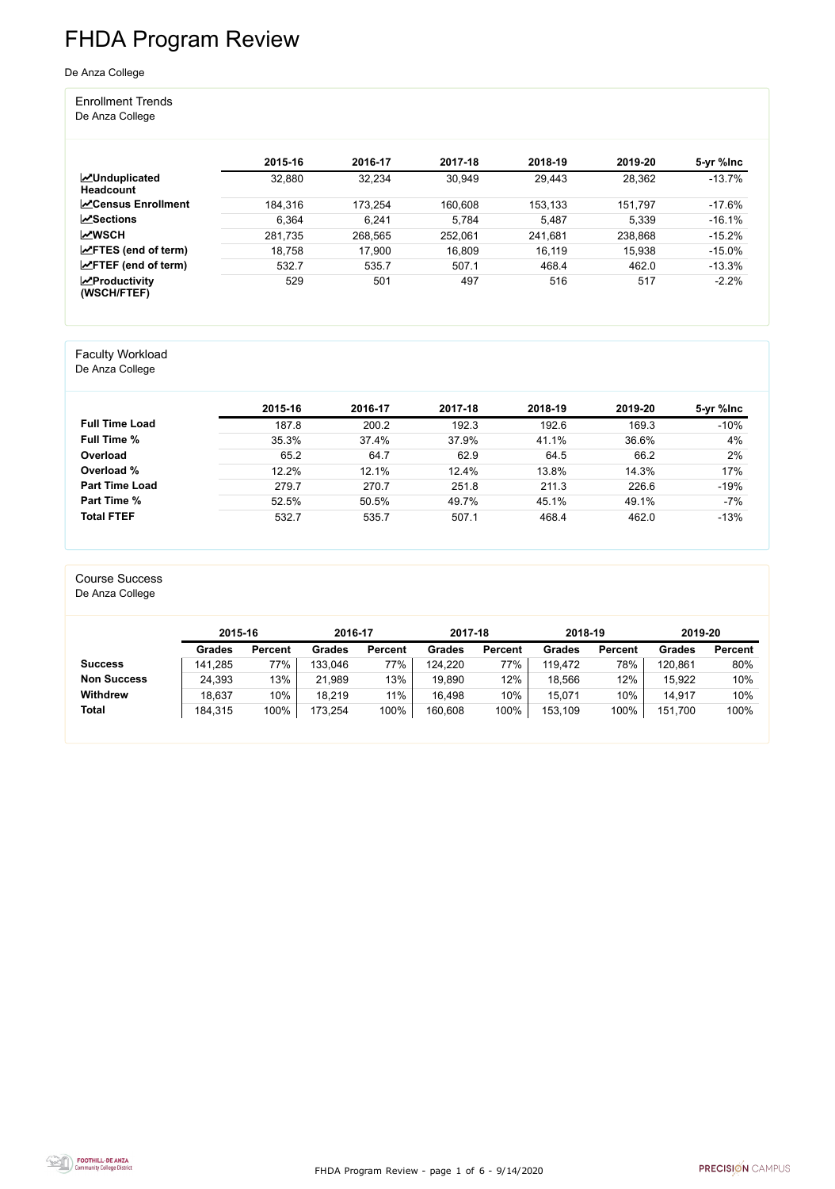FHDA Program Review - page 1 of 6 - 9/14/2020



## FHDA Program Review

#### De Anza College

#### Enrollment Trends De Anza College

#### **2015-16 2016-17 2017-18 2018-19 2019-20 5-yr %Inc Unduplicated Headcount** 32,880 32,234 30,949 29,443 28,362 -13.7% **Census Enrollment** 184,316 173,254 160,608 153,133 151,797 17.6% **Sections** 6,364 6,241 5,784 5,487 5,339 -16.1% **WSCH** 281,735 268,565 252,061 241,681 238,868 -15.2% **FTES (end of term)** 18,758 17,900 16,809 16,119 15,938 -15.0% **FIFF (end of term)** 532.7 535.7 507.1 468.4 462.0 -13.3% **Productivity (WSCH/FTEF)** 529 501 497 516 517 -2.2%

#### Faculty Workload

De Anza College

|                       | 2015-16 | 2016-17 | 2017-18 | 2018-19 | 2019-20 | 5-yr %lnc |
|-----------------------|---------|---------|---------|---------|---------|-----------|
| <b>Full Time Load</b> | 187.8   | 200.2   | 192.3   | 192.6   | 169.3   | $-10%$    |
| <b>Full Time %</b>    | 35.3%   | 37.4%   | 37.9%   | 41.1%   | 36.6%   | 4%        |
| Overload              | 65.2    | 64.7    | 62.9    | 64.5    | 66.2    | 2%        |
| Overload %            | 12.2%   | 12.1%   | 12.4%   | 13.8%   | 14.3%   | 17%       |
| <b>Part Time Load</b> | 279.7   | 270.7   | 251.8   | 211.3   | 226.6   | $-19%$    |
| <b>Part Time %</b>    | 52.5%   | 50.5%   | 49.7%   | 45.1%   | 49.1%   | $-7%$     |
| <b>Total FTEF</b>     | 532.7   | 535.7   | 507.1   | 468.4   | 462.0   | $-13%$    |

#### Course Success

De Anza College

|                    | 2015-16       |                | 2016-17       |                | 2017-18       |                | 2018-19       |                | 2019-20       |                |
|--------------------|---------------|----------------|---------------|----------------|---------------|----------------|---------------|----------------|---------------|----------------|
|                    | <b>Grades</b> | <b>Percent</b> | <b>Grades</b> | <b>Percent</b> | <b>Grades</b> | <b>Percent</b> | <b>Grades</b> | <b>Percent</b> | <b>Grades</b> | <b>Percent</b> |
| <b>Success</b>     | 141,285       | 77%            | 133,046       | 77%            | 124,220       | 77%            | 119,472       | 78%            | 120,861       | 80%            |
| <b>Non Success</b> | 24,393        | 13%            | 21,989        | 13%            | 19,890        | 12%            | 18,566        | 12%            | 15,922        | 10%            |
| <b>Withdrew</b>    | 18,637        | 10%            | 18,219        | 11%            | 16,498        | 10%            | 15,071        | 10%            | 14,917        | 10%            |
| <b>Total</b>       | 184,315       | 100%           | 173,254       | 100%           | 160,608       | 100%           | 153,109       | 100%           | 151,700       | 100%           |

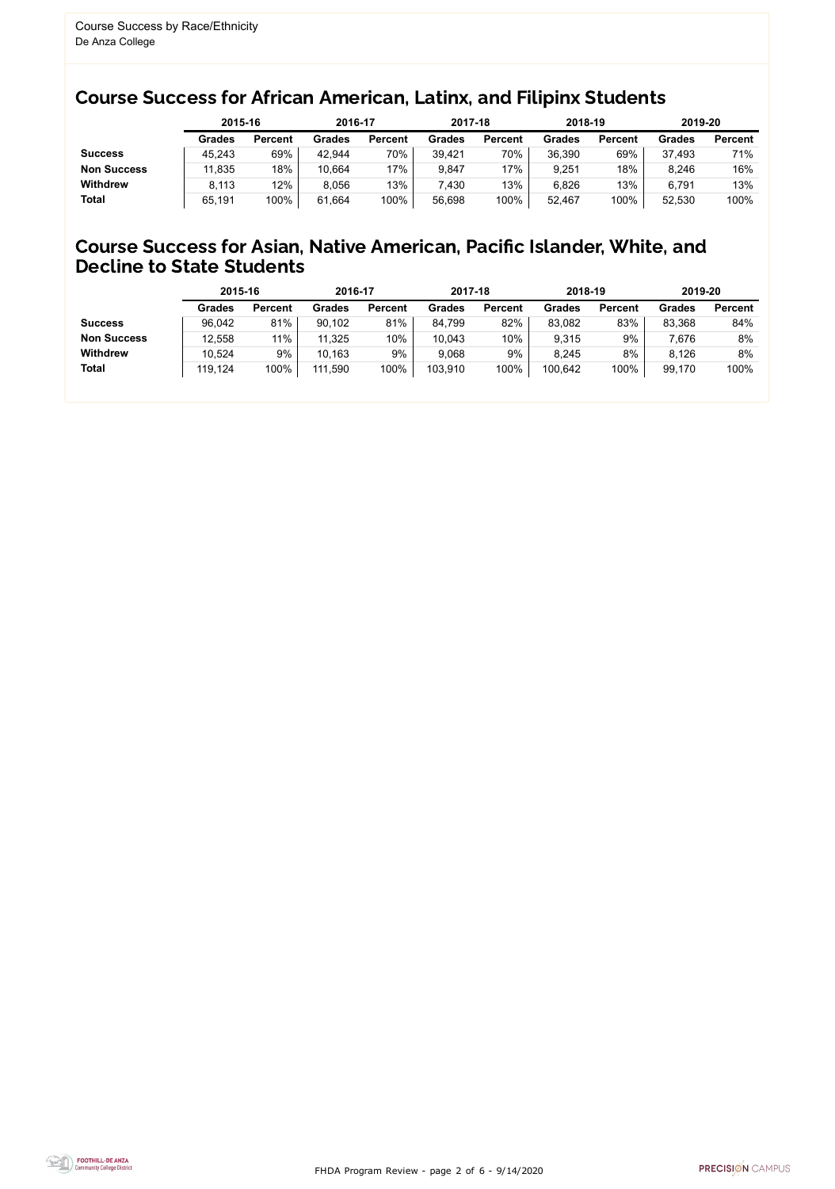FHDA Program Review - page 2 of 6 - 9/14/2020



### Course Success for African American, Latinx, and Filipinx Students

### Course Success for Asian, Native American, Pacific Islander, White, and Decline to State Students

|                    |               | 2015-16        |               | 2016-17        |               | 2017-18        | 2018-19       |                | 2019-20       |                |
|--------------------|---------------|----------------|---------------|----------------|---------------|----------------|---------------|----------------|---------------|----------------|
|                    | <b>Grades</b> | <b>Percent</b> | <b>Grades</b> | <b>Percent</b> | <b>Grades</b> | <b>Percent</b> | <b>Grades</b> | <b>Percent</b> | <b>Grades</b> | <b>Percent</b> |
| <b>Success</b>     | 45,243        | 69%            | 42,944        | 70%            | 39,421        | 70%            | 36,390        | 69%            | 37,493        | 71%            |
| <b>Non Success</b> | 11,835        | 18%            | 10,664        | $'7\%$         | 9,847         | $7\%$          | 9,251         | 18%            | 8,246         | 16%            |
| <b>Withdrew</b>    | 8.113         | 12%            | 8,056         | 13%            | 7,430         | 13%            | 6,826         | 13%            | 6,791         | 13%            |
| <b>Total</b>       | 65,191        | 100%           | 61,664        | 100%           | 56,698        | 100%           | 52,467        | 100%           | 52,530        | 100%           |

|                    |               | 2015-16        |               | 2016-17        |               | 2017-18        | 2018-19       |                | 2019-20       |                |
|--------------------|---------------|----------------|---------------|----------------|---------------|----------------|---------------|----------------|---------------|----------------|
|                    | <b>Grades</b> | <b>Percent</b> | <b>Grades</b> | <b>Percent</b> | <b>Grades</b> | <b>Percent</b> | <b>Grades</b> | <b>Percent</b> | <b>Grades</b> | <b>Percent</b> |
| <b>Success</b>     | 96,042        | 81%            | 90,102        | 81%            | 84,799        | 82%            | 83,082        | 83%            | 83,368        | 84%            |
| <b>Non Success</b> | 12,558        | 11%            | 11,325        | 10%            | 10,043        | 10%            | 9,315         | 9%             | 7,676         | 8%             |
| <b>Withdrew</b>    | 10,524        | 9%             | 10,163        | 9%             | 9,068         | 9%             | 8,245         | 8%             | 8,126         | 8%             |
| <b>Total</b>       | 119,124       | 100%           | 111,590       | 100%           | 103,910       | 100%           | 100,642       | 100%           | 99,170        | 100%           |
|                    |               |                |               |                |               |                |               |                |               |                |

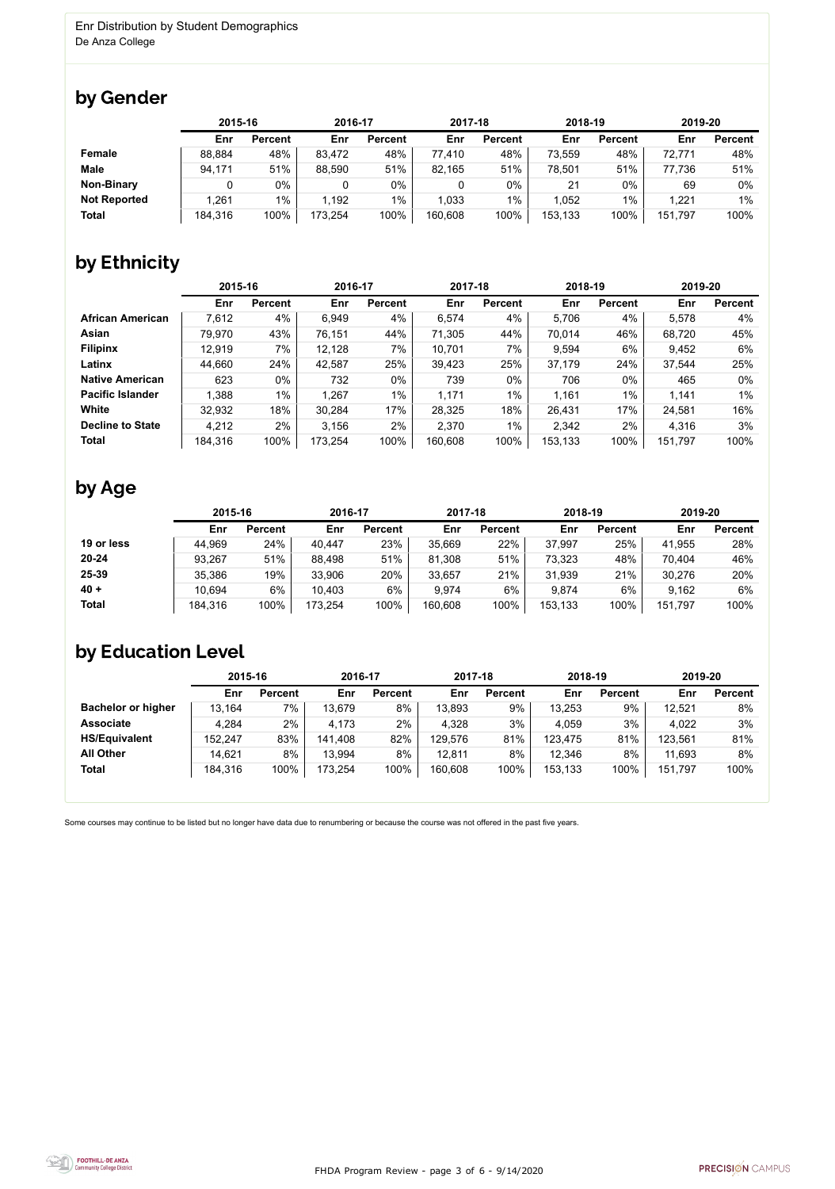FHDA Program Review - page 3 of 6 - 9/14/2020



Some courses may continue to be listed but no longer have data due to renumbering or because the course was not offered in the past five years.



## by Gender

|                     |         | 2015-16        |         | 2016-17        |         | 2017-18        |         | 2018-19        | 2019-20 |                |
|---------------------|---------|----------------|---------|----------------|---------|----------------|---------|----------------|---------|----------------|
|                     | Enr     | <b>Percent</b> | Enr     | <b>Percent</b> | Enr     | <b>Percent</b> | Enr     | <b>Percent</b> | Enr     | <b>Percent</b> |
| <b>Female</b>       | 88,884  | 48%            | 83,472  | 48%            | 77,410  | 48%            | 73,559  | 48%            | 72,771  | 48%            |
| <b>Male</b>         | 94,171  | 51%            | 88,590  | 51%            | 82,165  | 51%            | 78,501  | 51%            | 77,736  | 51%            |
| <b>Non-Binary</b>   | 0       | 0%             |         | 0%             | 0       | 0%             | 21      | $0\%$          | 69      | 0%             |
| <b>Not Reported</b> | ,261    | $1\%$          | 1,192   | $1\%$          | 1,033   | $1\%$          | 1,052   | $1\%$          | 1,221   | $1\%$          |
| <b>Total</b>        | 184,316 | 100%           | 173,254 | 100%           | 160,608 | 100%           | 153,133 | 100%           | 151,797 | 100%           |

## by Ethnicity

|                         | 2015-16 |                | 2016-17 |                | 2017-18 |                | 2018-19 |                | 2019-20 |                |
|-------------------------|---------|----------------|---------|----------------|---------|----------------|---------|----------------|---------|----------------|
|                         | Enr     | <b>Percent</b> | Enr     | <b>Percent</b> | Enr     | <b>Percent</b> | Enr     | <b>Percent</b> | Enr     | <b>Percent</b> |
| <b>African American</b> | 7,612   | 4%             | 6,949   | 4%             | 6,574   | 4%             | 5,706   | 4%             | 5,578   | 4%             |
| Asian                   | 79,970  | 43%            | 76,151  | 44%            | 71,305  | 44%            | 70,014  | 46%            | 68,720  | 45%            |
| <b>Filipinx</b>         | 12,919  | 7%             | 12,128  | 7%             | 10,701  | 7%             | 9,594   | 6%             | 9,452   | 6%             |
| Latinx                  | 44,660  | 24%            | 42,587  | 25%            | 39,423  | 25%            | 37,179  | 24%            | 37,544  | 25%            |
| <b>Native American</b>  | 623     | $0\%$          | 732     | $0\%$          | 739     | $0\%$          | 706     | $0\%$          | 465     | 0%             |
| <b>Pacific Islander</b> | 1,388   | $1\%$          | 1,267   | $1\%$          | 1,171   | $1\%$          | 1,161   | 1%             | 1,141   | $1\%$          |
| White                   | 32,932  | 18%            | 30,284  | 17%            | 28,325  | 18%            | 26,431  | 17%            | 24,581  | 16%            |
| <b>Decline to State</b> | 4,212   | $2\%$          | 3,156   | $2\%$          | 2,370   | $1\%$          | 2,342   | 2%             | 4,316   | 3%             |
| <b>Total</b>            | 184,316 | 100%           | 173,254 | 100%           | 160,608 | 100%           | 153,133 | 100%           | 151,797 | 100%           |

### by Age

|              |         | 2015-16        |         | 2016-17        |         | 2017-18        | 2018-19 |                | 2019-20 |                |  |
|--------------|---------|----------------|---------|----------------|---------|----------------|---------|----------------|---------|----------------|--|
|              | Enr     | <b>Percent</b> | Enr     | <b>Percent</b> | Enr     | <b>Percent</b> | Enr     | <b>Percent</b> | Enr     | <b>Percent</b> |  |
| 19 or less   | 44,969  | 24%            | 40,447  | 23%            | 35,669  | 22%            | 37,997  | 25%            | 41,955  | 28%            |  |
| $20 - 24$    | 93,267  | 51%            | 88,498  | 51%            | 81,308  | 51%            | 73,323  | 48%            | 70,404  | 46%            |  |
| 25-39        | 35,386  | 19%            | 33,906  | 20%            | 33,657  | 21%            | 31,939  | 21%            | 30,276  | 20%            |  |
| $40 +$       | 10,694  | 6%             | 10,403  | 6%             | 9,974   | 6%             | 9,874   | 6%             | 9,162   | 6%             |  |
| <b>Total</b> | 184,316 | 100%           | 173,254 | 100%           | 160,608 | 100%           | 153,133 | 100%           | 151,797 | 100%           |  |

### by Education Level

|                           | 2015-16 |                | 2016-17 |                | 2017-18 |                | 2018-19 |                | 2019-20 |                |
|---------------------------|---------|----------------|---------|----------------|---------|----------------|---------|----------------|---------|----------------|
|                           | Enr     | <b>Percent</b> | Enr     | <b>Percent</b> | Enr     | <b>Percent</b> | Enr     | <b>Percent</b> | Enr     | <b>Percent</b> |
| <b>Bachelor or higher</b> | 13,164  | 7%             | 13,679  | 8%             | 13,893  | 9%             | 13,253  | 9%             | 12,521  | 8%             |
| <b>Associate</b>          | 4,284   | $2\%$          | 4,173   | $2\%$          | 4,328   | 3%             | 4,059   | 3%             | 4,022   | 3%             |
| <b>HS/Equivalent</b>      | 152,247 | 83%            | 141,408 | 82%            | 129,576 | 81%            | 123,475 | 81%            | 123,561 | 81%            |
| <b>All Other</b>          | 14,621  | 8%             | 13,994  | 8%             | 12,811  | 8%             | 12,346  | 8%             | 11,693  | 8%             |
| <b>Total</b>              | 184,316 | 100%           | 173,254 | 100%           | 160,608 | 100%           | 153,133 | 100%           | 151,797 | 100%           |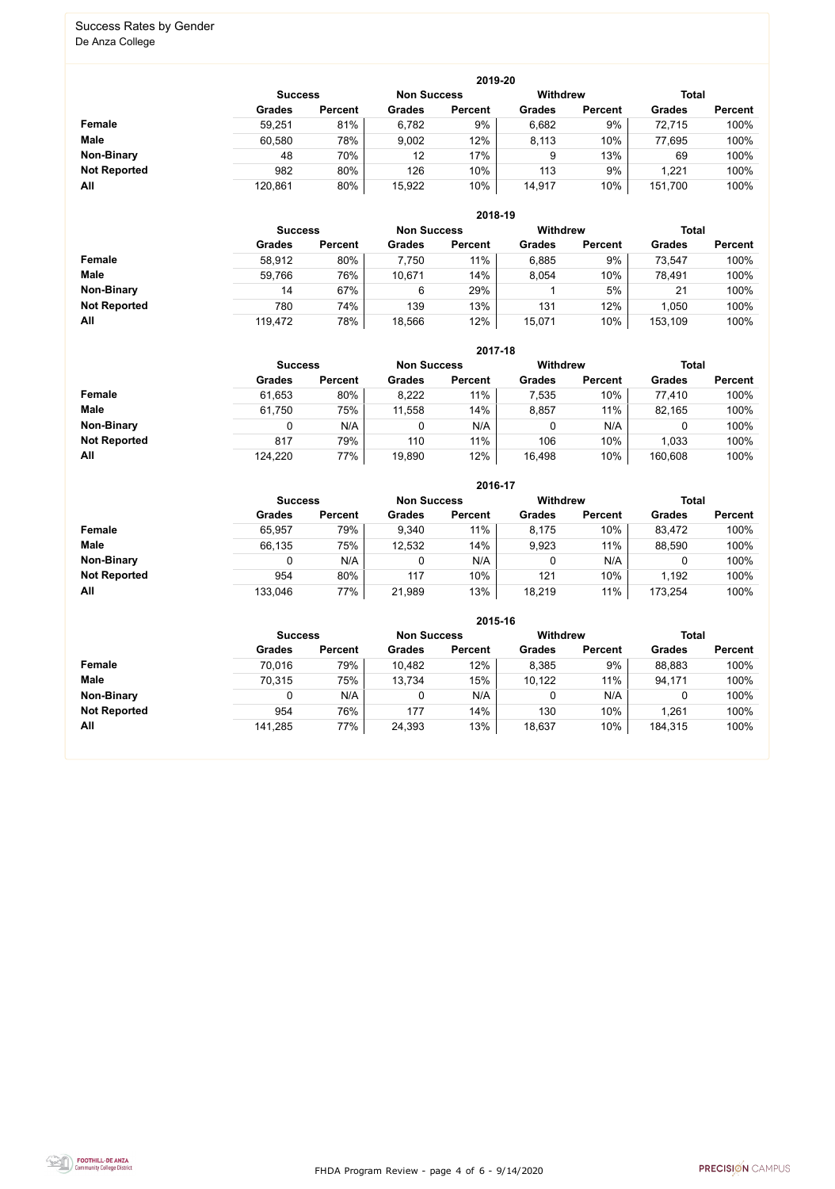FHDA Program Review - page 4 of 6 - 9/14/2020



#### Success Rates by Gender De Anza College

|                     | 2019-20        |                |                    |                 |               |                |               |                |  |  |  |
|---------------------|----------------|----------------|--------------------|-----------------|---------------|----------------|---------------|----------------|--|--|--|
|                     | <b>Success</b> |                | <b>Non Success</b> | <b>Withdrew</b> |               |                | <b>Total</b>  |                |  |  |  |
|                     | <b>Grades</b>  | <b>Percent</b> | Grades             | <b>Percent</b>  | <b>Grades</b> | <b>Percent</b> | <b>Grades</b> | <b>Percent</b> |  |  |  |
| <b>Female</b>       | 59,251         | 81%            | 6,782              | 9%              | 6,682         | 9%             | 72,715        | 100%           |  |  |  |
| <b>Male</b>         | 60,580         | 78%            | 9,002              | 12%             | 8,113         | 10%            | 77,695        | 100%           |  |  |  |
| <b>Non-Binary</b>   | 48             | 70%            | 12                 | 17%             | 9             | 13%            | 69            | 100%           |  |  |  |
| <b>Not Reported</b> | 982            | 80%            | 126                | 10%             | 113           | 9%             | 1,221         | 100%           |  |  |  |
| All                 | 120,861        | 80%            | 15,922             | 10%             | 14,917        | 10%            | 151,700       | 100%           |  |  |  |

|                     |               | 2018-19                              |               |                |               |                 |               |                |  |  |  |  |
|---------------------|---------------|--------------------------------------|---------------|----------------|---------------|-----------------|---------------|----------------|--|--|--|--|
|                     |               | <b>Non Success</b><br><b>Success</b> |               |                |               | <b>Withdrew</b> | <b>Total</b>  |                |  |  |  |  |
|                     | <b>Grades</b> | <b>Percent</b>                       | <b>Grades</b> | <b>Percent</b> | <b>Grades</b> | <b>Percent</b>  | <b>Grades</b> | <b>Percent</b> |  |  |  |  |
| <b>Female</b>       | 58,912        | 80%                                  | 7,750         | 11%            | 6,885         | 9%              | 73,547        | 100%           |  |  |  |  |
| <b>Male</b>         | 59,766        | 76%                                  | 10,671        | 14%            | 8,054         | 10%             | 78,491        | 100%           |  |  |  |  |
| <b>Non-Binary</b>   | 14            | 67%                                  | 6             | 29%            |               | 5%              | 21            | 100%           |  |  |  |  |
| <b>Not Reported</b> | 780           | 74%                                  | 139           | 13%            | 131           | 12%             | 1,050         | 100%           |  |  |  |  |
| All                 | 119,472       | 78%                                  | 18,566        | 12%            | 15,071        | 10%             | 153,109       | 100%           |  |  |  |  |

|                     |               | 2017-18                                                          |               |                |               |                |               |                |  |  |  |  |
|---------------------|---------------|------------------------------------------------------------------|---------------|----------------|---------------|----------------|---------------|----------------|--|--|--|--|
|                     |               | Withdrew<br><b>Total</b><br><b>Non Success</b><br><b>Success</b> |               |                |               |                |               |                |  |  |  |  |
|                     | <b>Grades</b> | <b>Percent</b>                                                   | <b>Grades</b> | <b>Percent</b> | <b>Grades</b> | <b>Percent</b> | <b>Grades</b> | <b>Percent</b> |  |  |  |  |
| <b>Female</b>       | 61,653        | 80%                                                              | 8,222         | 11%            | 7,535         | 10%            | 77,410        | 100%           |  |  |  |  |
| <b>Male</b>         | 61,750        | 75%                                                              | 11,558        | 14%            | 8,857         | 11%            | 82,165        | 100%           |  |  |  |  |
| <b>Non-Binary</b>   | 0             | N/A                                                              |               | N/A            | 0             | N/A            | 0             | 100%           |  |  |  |  |
| <b>Not Reported</b> | 817           | 79%                                                              | 110           | 11%            | 106           | 10%            | 1,033         | 100%           |  |  |  |  |
| All                 | 124,220       | 77%                                                              | 19,890        | 12%            | 16,498        | 10%            | 160,608       | 100%           |  |  |  |  |

|                     |               | 2016-17                              |               |                |               |                 |               |                |  |  |  |
|---------------------|---------------|--------------------------------------|---------------|----------------|---------------|-----------------|---------------|----------------|--|--|--|
|                     |               | <b>Non Success</b><br><b>Success</b> |               |                |               | <b>Withdrew</b> | <b>Total</b>  |                |  |  |  |
|                     | <b>Grades</b> | <b>Percent</b>                       | <b>Grades</b> | <b>Percent</b> | <b>Grades</b> | <b>Percent</b>  | <b>Grades</b> | <b>Percent</b> |  |  |  |
| Female              | 65,957        | 79%                                  | 9,340         | 11%            | 8,175         | 10%             | 83,472        | 100%           |  |  |  |
| <b>Male</b>         | 66,135        | 75%                                  | 12,532        | 14%            | 9,923         | 11%             | 88,590        | 100%           |  |  |  |
| <b>Non-Binary</b>   |               | N/A                                  | 0             | N/A            |               | N/A             |               | 100%           |  |  |  |
| <b>Not Reported</b> | 954           | 80%                                  | 117           | 10%            | 121           | 10%             | 1,192         | 100%           |  |  |  |
| All                 | 133,046       | 77%                                  | 21,989        | 13%            | 18,219        | 11%             | 173,254       | 100%           |  |  |  |

|                     |                |                |                    | 2015-16         |               |                |               |                |
|---------------------|----------------|----------------|--------------------|-----------------|---------------|----------------|---------------|----------------|
|                     | <b>Success</b> |                | <b>Non Success</b> | <b>Withdrew</b> |               | <b>Total</b>   |               |                |
|                     | <b>Grades</b>  | <b>Percent</b> | <b>Grades</b>      | <b>Percent</b>  | <b>Grades</b> | <b>Percent</b> | <b>Grades</b> | <b>Percent</b> |
| Female              | 70,016         | 79%            | 10,482             | 12%             | 8,385         | 9%             | 88,883        | 100%           |
| <b>Male</b>         | 70,315         | 75%            | 13,734             | 15%             | 10,122        | 11%            | 94,171        | 100%           |
| <b>Non-Binary</b>   |                | N/A            | 0                  | N/A             |               | N/A            |               | 100%           |
| <b>Not Reported</b> | 954            | 76%            | 177                | 14%             | 130           | 10%            | 1,261         | 100%           |
| All                 | 141,285        | 77%            | 24,393             | 13%             | 18,637        | 10%            | 184,315       | 100%           |

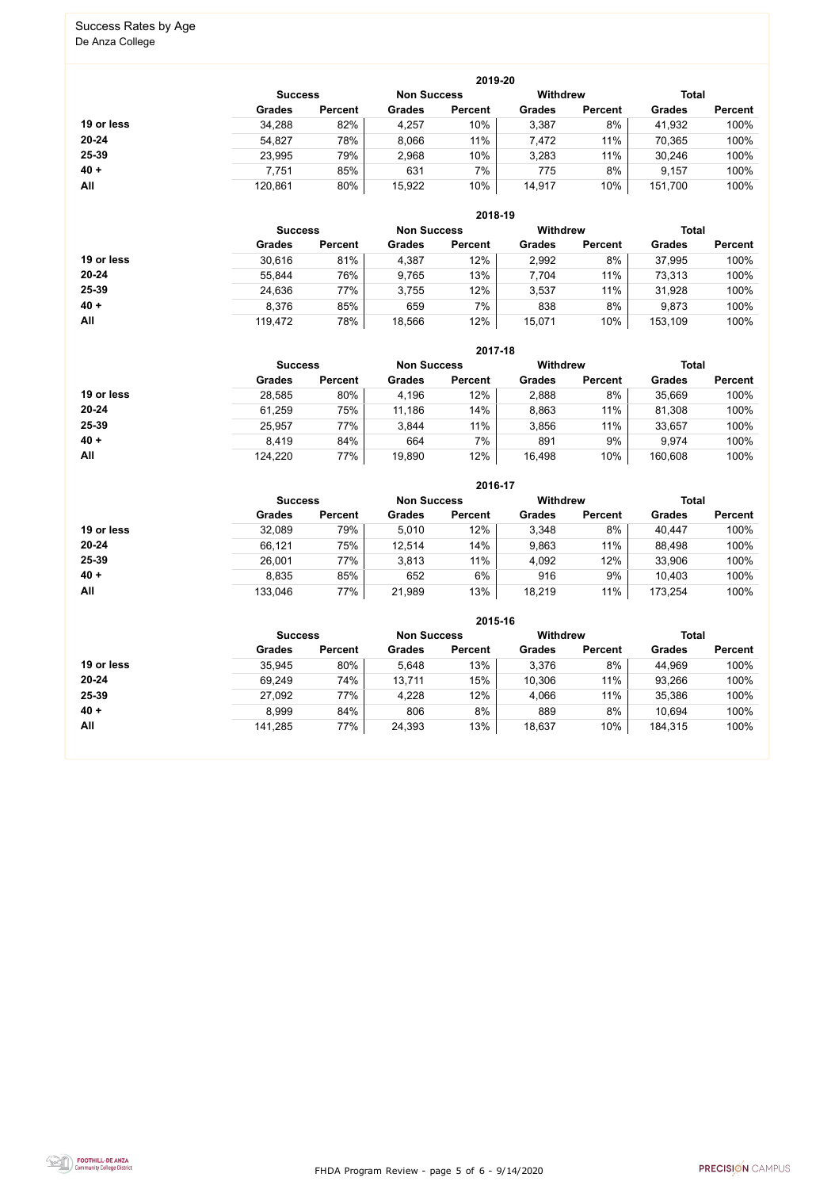FHDA Program Review - page 5 of 6 - 9/14/2020



# Success Rates by Age

De Anza College

|            |                |                |                    | 2019-20        |                 |                |               |                |
|------------|----------------|----------------|--------------------|----------------|-----------------|----------------|---------------|----------------|
|            | <b>Success</b> |                | <b>Non Success</b> |                | <b>Withdrew</b> |                | <b>Total</b>  |                |
|            | <b>Grades</b>  | <b>Percent</b> | Grades             | <b>Percent</b> | <b>Grades</b>   | <b>Percent</b> | <b>Grades</b> | <b>Percent</b> |
| 19 or less | 34,288         | 82%            | 4,257              | 10%            | 3,387           | 8%             | 41,932        | 100%           |
| $20 - 24$  | 54,827         | 78%            | 8,066              | 11%            | 7,472           | 11%            | 70,365        | 100%           |
| 25-39      | 23,995         | 79%            | 2,968              | 10%            | 3,283           | 11%            | 30,246        | 100%           |
| $40 +$     | 7,751          | 85%            | 631                | 7%             | 775             | 8%             | 9,157         | 100%           |
| All        | 120,861        | 80%            | 15,922             | 10%            | 14,917          | 10%            | 151,700       | 100%           |

|            |                |                |                    | 2018-19        |                 |                |               |                |
|------------|----------------|----------------|--------------------|----------------|-----------------|----------------|---------------|----------------|
|            | <b>Success</b> |                | <b>Non Success</b> |                | <b>Withdrew</b> |                | <b>Total</b>  |                |
|            | <b>Grades</b>  | <b>Percent</b> | <b>Grades</b>      | <b>Percent</b> | <b>Grades</b>   | <b>Percent</b> | <b>Grades</b> | <b>Percent</b> |
| 19 or less | 30,616         | 81%            | 4,387              | 12%            | 2,992           | 8%             | 37,995        | 100%           |
| $20 - 24$  | 55,844         | 76%            | 9,765              | 13%            | 7,704           | 11%            | 73,313        | 100%           |
| 25-39      | 24,636         | 77%            | 3,755              | 12%            | 3,537           | 11%            | 31,928        | 100%           |
| $40 +$     | 8,376          | 85%            | 659                | $7\%$          | 838             | 8%             | 9,873         | 100%           |
| All        | 119,472        | 78%            | 18,566             | 12%            | 15,071          | 10%            | 153,109       | 100%           |

|            | 2017-18                              |                |               |                |                 |                |               |                |  |  |  |
|------------|--------------------------------------|----------------|---------------|----------------|-----------------|----------------|---------------|----------------|--|--|--|
|            | <b>Non Success</b><br><b>Success</b> |                |               |                | <b>Withdrew</b> |                | <b>Total</b>  |                |  |  |  |
|            | <b>Grades</b>                        | <b>Percent</b> | <b>Grades</b> | <b>Percent</b> | <b>Grades</b>   | <b>Percent</b> | <b>Grades</b> | <b>Percent</b> |  |  |  |
| 19 or less | 28,585                               | 80%            | 4,196         | 12%            | 2,888           | 8%             | 35,669        | 100%           |  |  |  |
| $20 - 24$  | 61,259                               | 75%            | 11,186        | 14%            | 8,863           | 11%            | 81,308        | 100%           |  |  |  |
| $25 - 39$  | 25,957                               | 77%            | 3,844         | 11%            | 3,856           | 11%            | 33,657        | 100%           |  |  |  |
| $40 +$     | 8,419                                | 84%            | 664           | 7%             | 891             | 9%             | 9,974         | 100%           |  |  |  |
| All        | 124,220                              | 77%            | 19,890        | 12%            | 16,498          | 10%            | 160,608       | 100%           |  |  |  |

|            |                |                |                    | 2016-17        |                 |                |               |                |
|------------|----------------|----------------|--------------------|----------------|-----------------|----------------|---------------|----------------|
|            | <b>Success</b> |                | <b>Non Success</b> |                | <b>Withdrew</b> |                | <b>Total</b>  |                |
|            | <b>Grades</b>  | <b>Percent</b> | <b>Grades</b>      | <b>Percent</b> | <b>Grades</b>   | <b>Percent</b> | <b>Grades</b> | <b>Percent</b> |
| 19 or less | 32,089         | 79%            | 5,010              | 12%            | 3,348           | 8%             | 40,447        | 100%           |
| $20 - 24$  | 66,121         | 75%            | 12,514             | 14%            | 9,863           | 11%            | 88,498        | 100%           |
| 25-39      | 26,001         | 77%            | 3,813              | 11%            | 4,092           | 12%            | 33,906        | 100%           |
| $40 +$     | 8,835          | 85%            | 652                | 6%             | 916             | 9%             | 10,403        | 100%           |
| All        | 133,046        | 77%            | 21,989             | 13%            | 18,219          | 11%            | 173,254       | 100%           |

|            |                |                |               | 2015-16            |               |                 |               |                |
|------------|----------------|----------------|---------------|--------------------|---------------|-----------------|---------------|----------------|
|            | <b>Success</b> |                |               | <b>Non Success</b> |               | <b>Withdrew</b> | <b>Total</b>  |                |
|            | <b>Grades</b>  | <b>Percent</b> | <b>Grades</b> | <b>Percent</b>     | <b>Grades</b> | <b>Percent</b>  | <b>Grades</b> | <b>Percent</b> |
| 19 or less | 35,945         | 80%            | 5,648         | 13%                | 3,376         | 8%              | 44,969        | 100%           |
| $20 - 24$  | 69,249         | 74%            | 13,711        | 15%                | 10,306        | 11%             | 93,266        | 100%           |
| $25 - 39$  | 27,092         | 77%            | 4,228         | 12%                | 4,066         | 11%             | 35,386        | 100%           |
| $40 +$     | 8,999          | 84%            | 806           | 8%                 | 889           | 8%              | 10,694        | 100%           |
| All        | 141,285        | 77%            | 24,393        | 13%                | 18,637        | 10%             | 184,315       | 100%           |